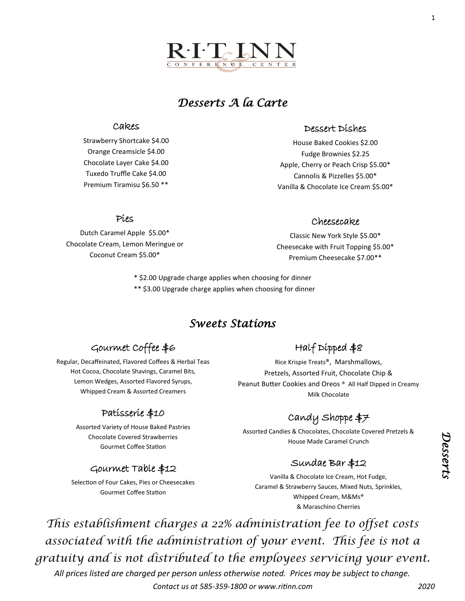

# *Desserts A la Carte*

### Cakes

Strawberry Shortcake \$4.00 Orange Creamsicle \$4.00 Chocolate Layer Cake \$4.00 Tuxedo Truffle Cake \$4.00 Premium Tiramisu \$6.50 \*\*

Pies Dutch Caramel Apple \$5.00\* Chocolate Cream, Lemon Meringue or Coconut Cream \$5.00\*

### Dessert Dishes

House Baked Cookies \$2.00 Fudge Brownies \$2.25 Apple, Cherry or Peach Crisp \$5.00\* Cannolis & Pizzelles \$5.00\* Vanilla & Chocolate Ice Cream \$5.00\*

### Cheesecake

Classic New York Style \$5.00\* Cheesecake with Fruit Topping \$5.00\* Premium Cheesecake \$7.00\*\*

\* \$2.00 Upgrade charge applies when choosing for dinner \*\* \$3.00 Upgrade charge applies when choosing for dinner

## *Sweets Stations*

## Gourmet Coffee \$6

Regular, Decaffeinated, Flavored Coffees & Herbal Teas Hot Cocoa, Chocolate Shavings, Caramel Bits, Lemon Wedges, Assorted Flavored Syrups, Whipped Cream & Assorted Creamers

## Patisserie \$10

Assorted Variety of House Baked Pastries Chocolate Covered Strawberries Gourmet Coffee Station

### Gourmet Table \$12

Selection of Four Cakes, Pies or Cheesecakes Gourmet Coffee Station

## Half Dipped \$8

Rice Krispie Treats®, Marshmallows, Pretzels, Assorted Fruit, Chocolate Chip & Peanut Butter Cookies and Oreos ® All Half Dipped in Creamy Milk Chocolate

# Candy Shoppe \$7

Assorted Candies & Chocolates, Chocolate Covered Pretzels & House Made Caramel Crunch

### Sundae Bar \$12

Vanilla & Chocolate Ice Cream, Hot Fudge, Caramel & Strawberry Sauces, Mixed Nuts, Sprinkles, Whipped Cream, M&Ms® & Maraschino Cherries

*This establishment charges a 22% administration fee to offset costs associated with the administration of your event. This fee is not a gratuity and is not distributed to the employees servicing your event.* 

*All prices listed are charged per person unless otherwise noted. Prices may be subject to change. Contact us at 585-359-1800 or www.ritinn.com 2020*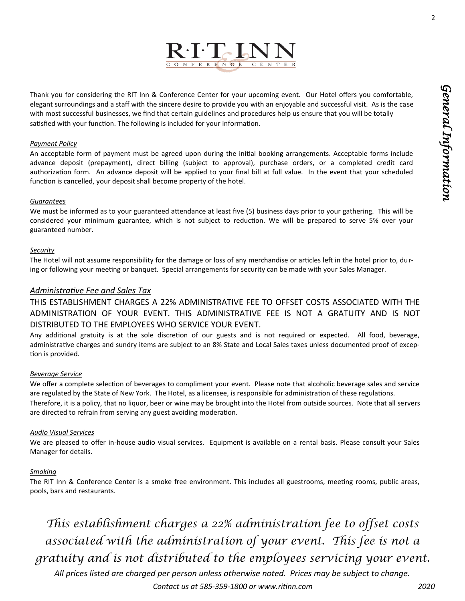2



Thank you for considering the RIT Inn & Conference Center for your upcoming event. Our Hotel offers you comfortable, elegant surroundings and a staff with the sincere desire to provide you with an enjoyable and successful visit. As is the case with most successful businesses, we find that certain guidelines and procedures help us ensure that you will be totally satisfied with your function. The following is included for your information.

#### *Payment Policy*

An acceptable form of payment must be agreed upon during the initial booking arrangements. Acceptable forms include advance deposit (prepayment), direct billing (subject to approval), purchase orders, or a completed credit card authorization form. An advance deposit will be applied to your final bill at full value. In the event that your scheduled function is cancelled, your deposit shall become property of the hotel.

#### *Guarantees*

We must be informed as to your guaranteed attendance at least five (5) business days prior to your gathering. This will be considered your minimum guarantee, which is not subject to reduction. We will be prepared to serve 5% over your guaranteed number.

#### *Security*

The Hotel will not assume responsibility for the damage or loss of any merchandise or articles left in the hotel prior to, during or following your meeting or banquet. Special arrangements for security can be made with your Sales Manager.

#### *Administrative Fee and Sales Tax*

THIS ESTABLISHMENT CHARGES A 22% ADMINISTRATIVE FEE TO OFFSET COSTS ASSOCIATED WITH THE ADMINISTRATION OF YOUR EVENT. THIS ADMINISTRATIVE FEE IS NOT A GRATUITY AND IS NOT DISTRIBUTED TO THE EMPLOYEES WHO SERVICE YOUR EVENT.

Any additional gratuity is at the sole discretion of our guests and is not required or expected. All food, beverage, administrative charges and sundry items are subject to an 8% State and Local Sales taxes unless documented proof of exception is provided.

#### *Beverage Service*

We offer a complete selection of beverages to compliment your event. Please note that alcoholic beverage sales and service are regulated by the State of New York. The Hotel, as a licensee, is responsible for administration of these regulations. Therefore, it is a policy, that no liquor, beer or wine may be brought into the Hotel from outside sources. Note that all servers are directed to refrain from serving any guest avoiding moderation.

#### *Audio Visual Services*

We are pleased to offer in-house audio visual services. Equipment is available on a rental basis. Please consult your Sales Manager for details.

#### *Smoking*

The RIT Inn & Conference Center is a smoke free environment. This includes all guestrooms, meeting rooms, public areas, pools, bars and restaurants.

*This establishment charges a 22% administration fee to offset costs associated with the administration of your event. This fee is not a gratuity and is not distributed to the employees servicing your event.* 

*All prices listed are charged per person unless otherwise noted. Prices may be subject to change. Contact us at 585-359-1800 or www.ritinn.com 2020*